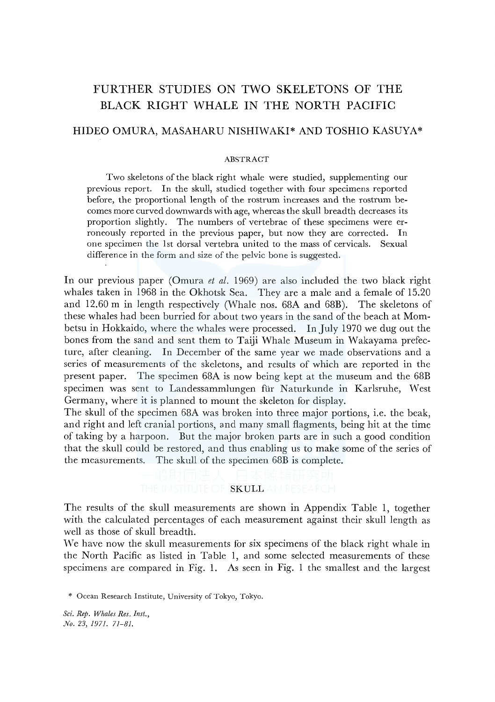# FURTHER STUDIES ON TWO SKELETONS OF THE BLACK RIGHT WHALE IN THE NORTH PACIFIC

# HIDEO OMURA, MASAHARU NISHIWAKI\* AND TOSHIO KASUYA\*

#### ABSTRACT

Two skeletons of the black right whale were studied, supplementing our previous report. In the skull, studied together with four specimens reported before, the proportional length of the rostrum increases and the rostrum becomes more curved downwards with age, whereas the skull breadth decreases its proportion slightly. The numbers of vertebrae of these specimens were erroneously reported in the previous paper, but now they are corrected. In one specimen the lst dorsal vertebra united to the mass of cervicals. Sexual difference in the form and size of the pelvic bone is suggested.

In our previous paper (Omura *et al.* 1969) are also included the two black right whales taken in 1968 in the Okhotsk Sea. They are a male and a female of 15.20 and 12.60 m in length respectively (Whale nos. 68A and 68B). The skeletons of these whales had been burried for about two years in the sand of the beach at Mombetsu in Hokkaido, where the whales were processed. In July 1970 we dug out the bones from the sand and sent them to Taiji Whale Museum in Wakayama prefecture, after cleaning. In December of the same year we made observations and a series of measurements of the skeletons, and results of which are reported in the present paper. The specimen 68A is now being kept at the museum and the 68B specimen was sent to Landessammlungen für Naturkunde in Karlsruhe, West Germany, where it is planned to mount the skeleton for display.

The skull of the specimen 68A was broken into three major portions, i.e. the beak, and right and left cranial portions, and many small flagments, being hit at the time of taking by a harpoon. But the major broken parts are in such a good condition that the skull could be restored, and thus enabling us to make some of the series of the measurements. The skull of the specimen 68B is complete.

## THE INSTITUTE OF SKULLFAN RESEARCH

The results of the skull measurements are shown in Appendix Table 1, together with the calculated percentages of each measurement against their skull length as well as those of skull breadth.

We have now the skull measurements for six specimens of the black right whale in the North Pacific as listed in Table 1, and some selected measurements of these specimens are compared in Fig. 1. As seen in Fig. 1 the smallest and the largest

\* Ocean Research Institute, University of Tokyo, Tokyo.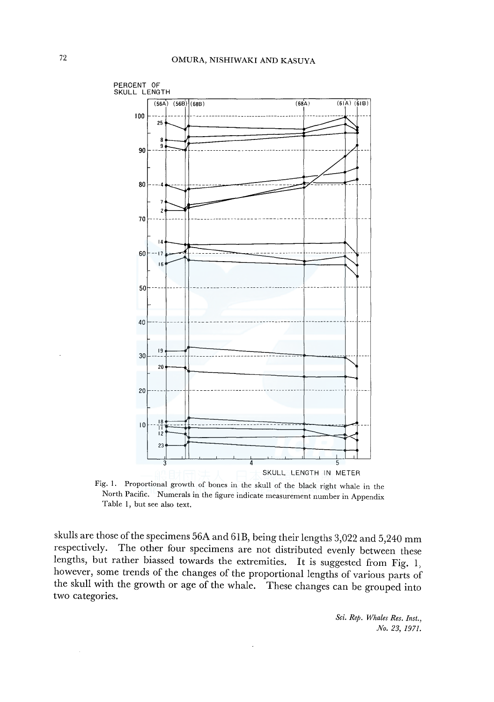

Fig. 1. Proportional growth of bones in the skull of the black right whale in the North Pacific. Numerals in the figure indicate measurement number in Appendix Table 1, but see also text.

skulls are those of the specimens 56A and 61B, being their lengths 3,022 and 5,240 mm<br>respectively. The other four specimens are not distributed evenly between these The other four specimens are not distributed evenly between these lengths, but rather biassed towards the extremities. It is suggested from Fig. 1, however, some trends of the changes of the proportional lengths of various parts of the skull with the growth or age of the whale. These changes can be grouped into two categories.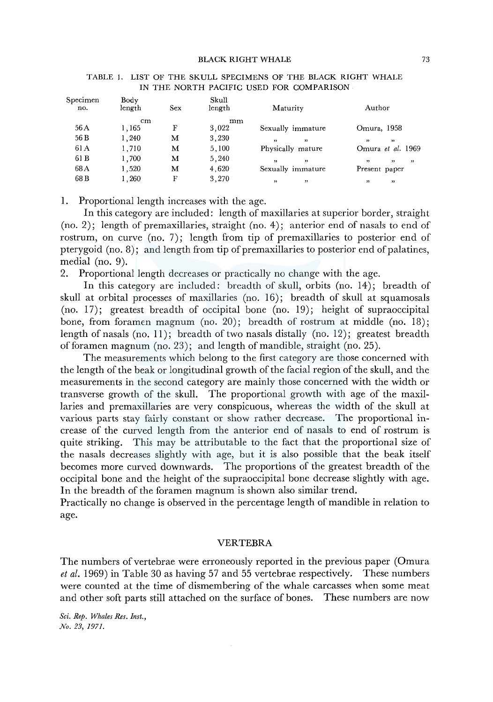| Specimen<br>no. | Body<br>length | <b>Sex</b> | Skull<br>length | Maturity                               | Author                 |
|-----------------|----------------|------------|-----------------|----------------------------------------|------------------------|
|                 | cm             |            | mm              |                                        |                        |
| 56 A            | 1,165          | F          | 3.022           | Sexually immature                      | Omura, 1958            |
| 56 B            | 1,240          | м          | 3,230           | , 1<br>,                               | ,<br>22                |
| 61 A            | 1,710          | м          | 5,100           | Physically mature                      | Omura et al. 1969      |
| 61 B            | 1,700          | М          | 5,240           | $^{\prime\prime}$<br>$^{\prime\prime}$ | , ,<br>,<br>,          |
| 68 A            | 1,520          | м          | 4,620           | Sexually immature                      | Present paper          |
| 68 B            | 1,260          | F          | 3,270           | ,<br>,                                 | $^{\prime\prime}$<br>, |
|                 |                |            |                 |                                        |                        |

#### TABLE I. LIST OF THE SKULL SPECIMENS OF THE BLACK RIGHT WHALE IN THE NORTH PACIFIC USED FOR COMPARISON

1. Proportional length increases with the age.

In this category are included: length of maxillaries at superior border, straight (no. 2); length of premaxillaries, straight (no. 4); anterior end of nasals to end of rostrum, on curve (no. 7); length from tip of premaxillaries to posterior end of pterygoid (no. 8); and length from tip of premaxillaries to posterior end of palatines, medial (no. 9).

2. Proportional length decreases or practically no change with the age.

In this category are included: breadth of skull, orbits (no. 14); breadth of skull at orbital processes of maxillaries (no. 16); breadth of skull at squamosals (no. 17); greatest breadth of occipital bone (no. 19); height of supraoccipital bone, from foramen magnum (no. 20); breadth of rostrum at middle (no. 18); length of nasals (no. 11); breadth of two nasals distally (no. 12); greatest breadth of foramen magnum (no. 23); and length of mandible, straight (no. 25).

The measurements which belong to the first category are those concerned with the length of the beak or longitudinal growth of the facial region of the skull, and the measurements in the second category are mainly those concerned with the width or transverse growth of the skull. The proportional growth with age of the maxillaries and premaxillaries are very conspicuous, whereas the width of the skull at various parts stay fairly constant or show rather decrease. The proportional increase of the curved length from the anterior end of nasals to end of rostrum is quite striking. This may be attributable to the fact that the proportional size of the nasals decreases slightly with age, but it is also possible that the beak itself becomes more curved downwards. The proportions of the greatest breadth of the occipital bone and the height of the supraoccipital bone decrease slightly with age. In the breadth of the foramen magnum is shown also similar trend.

Practically no change is observed in the percentage length of mandible in relation to age.

#### VERTEBRA

The numbers of vertebrae were erroneously reported in the previous paper (Omura *et al.* 1969) in Table 30 as having 57 and 55 vertebrae respectively. These numbers were counted at the time of dismembering of the whale carcasses when some meat and other soft parts still attached on the surface of bones. These numbers are now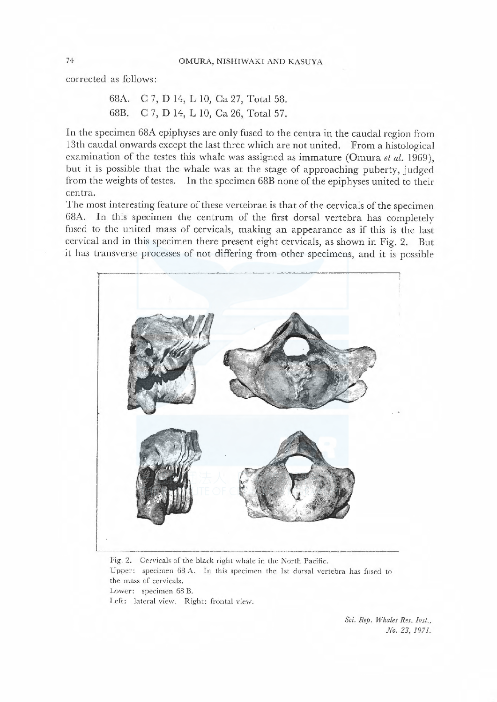corrected as follows:

```
68A. C 7, D 14, L 10, Ca 27, Total 58. 
68B. C 7, D 14, L 10, Ca 26, Total 57.
```
In the specimen 68A cpiphyses are only fused to the centra in the caudal region from 13th caudal onwards except the last three which are not united. From a histological examination of the testes this whale was assigned as immature (Omura et al. 1969), but it is possible that the whale was at the stage of approaching puberty, judged from the weights of testes. In the specimen 68B none of the epiphyses united to their ccntra.

The most interesting feature of these vertebrae is that of the cervicals of the specimen 68A. In this specimen the centrum of the first dorsal vertebra has completely fused to the united mass of cervicals, making an appearance as if this is the last cervical and in this specimen there present eight cervicals, as shown in Fig. 2. But it has transverse processes of not differing from other specimens, and it is possible



Fig. 2. Cervicals of the black right whale in the North Pacific. Upper: specimen 68 A. In this specimen the 1st dorsal vertebra has fused to the mass of cervicals. Lower: specimen 68 B. Left: lateral view. Right: frontal view.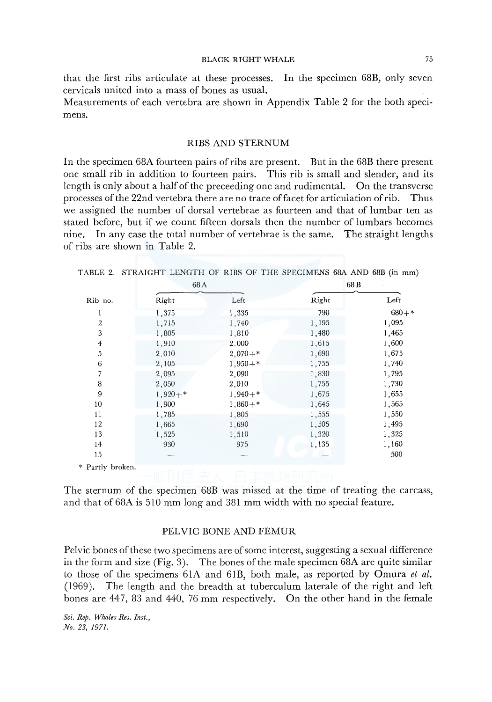that the first ribs articulate at these processes. In the specimen 68B, only seven cervicals united into a mass of bones as usual.

Measurements of each vertebra are shown in Appendix Table 2 for the both specimens.

## RIBS AND STERNUM

In the specimen 68A fourteen pairs of ribs are present. But in the 68B there present one small rib in addition to fourteen pairs. This rib is small and slender, and its length is only about a half of the preceeding one and rudimental. On the transverse processes of the 22nd vertebra there are no trace of facet for articulation of rib. Thus we assigned the number of dorsal vertebrae as fourteen and that of lumbar ten as stated before, but if we count fifteen dorsals then the number of lumbars becomes nine. In any case the total number of vertebrae is the same. The straight lengths of ribs are shown in Table 2.

|  |  |  |  |  |  |  | TABLE 2. STRAIGHT LENGTH OF RIBS OF THE SPECIMENS 68A AND 68B (in mm) |  |  |  |  |  |  |
|--|--|--|--|--|--|--|-----------------------------------------------------------------------|--|--|--|--|--|--|
|--|--|--|--|--|--|--|-----------------------------------------------------------------------|--|--|--|--|--|--|

|                  | 68A       |           | 68 B  |         |
|------------------|-----------|-----------|-------|---------|
| Rib no.          | Right     | Left      | Right | Left    |
| 1                | 1,375     | 1,335     | 790   | $680+*$ |
| $\overline{2}$   | 1,715     | 1,740     | 1,195 | 1,095   |
| 3                | 1,805     | 1,810     | 1,480 | 1,465   |
| $\overline{4}$   | 1,910     | 2.000     | 1,615 | 1,600   |
| 5                | 2.010     | $2,070+*$ | 1,690 | 1,675   |
| 6                | 2,105     | $1,950+*$ | 1,755 | 1,740   |
| 7                | 2,095     | 2,090     | 1,830 | 1,795   |
| 8                | 2,050     | 2,010     | 1,755 | 1,730   |
| 9                | $1,920+*$ | $1,940+*$ | 1,675 | 1,655   |
| 10               | 1,900     | $1,860+*$ | 1,645 | 1,565   |
| 11               | 1,785     | 1,805     | 1,555 | 1,550   |
| 12               | 1,665     | 1,690     | 1,505 | 1,495   |
| 13               | 1,525     | 1,510     | 1,320 | 1,325   |
| 14               | 930       | 975       | 1,135 | 1,160   |
| 15               |           |           |       | 500     |
| * Partly broken. |           |           |       |         |

The sternum of the specimen 68B was missed at the time of treating the carcass, and that of68A is 510 mm long and 381 mm width with no special feature.

#### PELVIC BONE AND FEMUR

Pelvic bones of these two specimens are of some interest, suggesting a sexual difference in the form and size (Fig. 3). The bones of the male specimen 68A are quite similar to those of the specimens 61A and 61B, both male, as reported by Omura *et al.*  (1969). The length and the breadth at tuberculum laterale of the right and left bones are 447, 83 and 440, 76 mm respectively. On the other hand in the female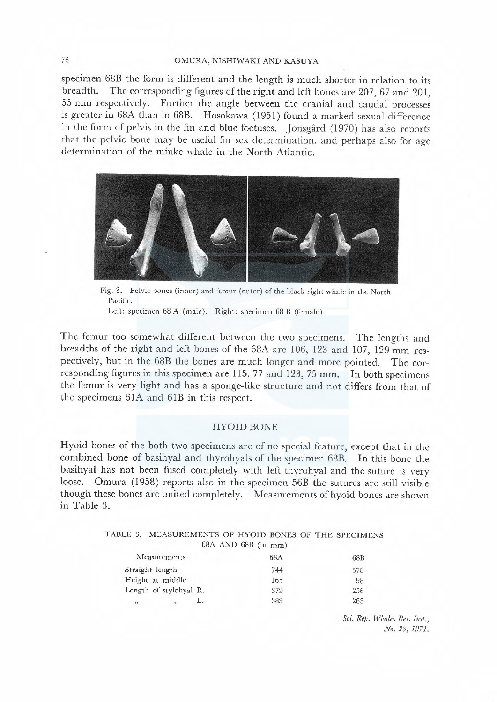## 76 OMURA, NISHIWAKI AND KASUYA

specimen 68B the form is different and the length is much shorter in relation to its breadth. The corresponding figures of the right and left bones are 207, 67 and 201, <sup>55</sup>mm respectively. Further the angle between the cranial and caudal processes is greater in 68A than in 68B. Hosokawa (1951) found a marked sexual difference in the form of pelvis in the fin and blue foetuses. Jonsgård (1970) has also reports that the pelvic bone may be useful for sex determination, and perhaps also for age determination of the minke whale in the North Atlantic.



Fig. 3. Pelvic bones (inner) and femur (outer) of the black right whale in the North Pacific.

Left: specimen 68 A (male). Right: specimen 68 B (female).

The femur too somewhat different between the two specimens. The lengths and breadths of the right and left bones of the 68A are 106, 123 and 107, 129 mm respectivcly, but in the 68B the bones are much longer and more pointed. The corresponding figures in this specimen are 115, 77 and 123, 75 mm. In both specimens the femur is very light and has a sponge-like structure and not differs from that of the specimens 61A and 61B in this respect.

## HYOID BONE

Hyoid bones of the both two specimens are of no special feature, except that in the combined bone of basihyal and thyrohyals of the specimen 68B. In this bone the basihyal has not been fused completely with left thyrohyal and the suture is very loose. Omura (1958) reports also in the specimen 56B the sutures are still visible though these bones are united completely. Measurements of hyoid bones are shown in Table 3.

| TABLE 3. MEASUREMENTS OF HYOID BONES OF THE SPECIMENS |                         |  |  |
|-------------------------------------------------------|-------------------------|--|--|
|                                                       | $68A$ AND $68B$ (in mm) |  |  |

| Measurements           |    | 68A       | 68B |  |  |  |
|------------------------|----|-----------|-----|--|--|--|
| Straight length        |    | 744       | 578 |  |  |  |
| Height at middle       |    | 165<br>98 |     |  |  |  |
| Length of stylohyal R. |    | 379       | 256 |  |  |  |
| ,,<br>"                | L. | 389       | 263 |  |  |  |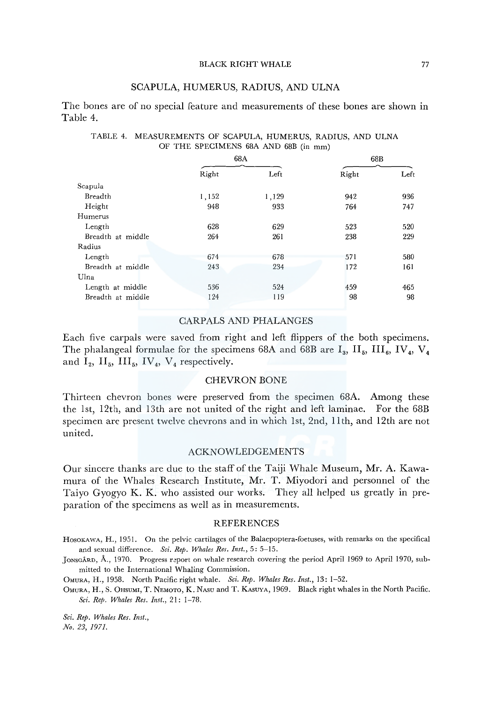## SCAPULA, HUMERUS, RADIUS, AND ULNA

The bones are of no special feature and measurements of these bones are shown in Table 4.

|                   | 68A   |       | 68B   |      |  |  |
|-------------------|-------|-------|-------|------|--|--|
|                   | Right | Left  | Right | Left |  |  |
| Scapula           |       |       |       |      |  |  |
| Breadth           | 1,152 | 1,129 | 942   | 936  |  |  |
| Height            | 948   | 933   | 764   | 747  |  |  |
| Humerus           |       |       |       |      |  |  |
| Length            | 628   | 629   | 523   | 520  |  |  |
| Breadth at middle | 264   | 261   | 238   | 229  |  |  |
| Radius            |       |       |       |      |  |  |
| Length            | 674   | 678   | 571   | 580  |  |  |
| Breadth at middle | 243   | 234   | 172   | 161  |  |  |
| Ulna              |       |       |       |      |  |  |
| Length at middle  | 536   | 524   | 459   | 465  |  |  |
| Breadth at middle | 124   | 119   | 98    | 98   |  |  |

#### TABLE 4. MEASUREMENTS OF SCAPULA, HUMERUS, RADIUS, AND ULNA OF THE SPECIMENS 68A AND 68B (in mm)

#### CARPALS AND PHALANGES

Each five carpals were saved from right and left flippers of the both specimens. The phalangeal formulae for the specimens 68A and 68B are  $I_3$ ,  $II_5$ ,  $III_6$ , IV<sub>4</sub>, V<sub>4</sub> and  $I_2$ ,  $II_5$ ,  $III_5$ ,  $IV_4$ ,  $V_4$  respectively.

## CHEVRON BONE

Thirteen chevron bones were preserved from the specimen 68A. Among these the lst, 12th, and 13th are not united of the right and left laminae. For the 68B specimen are present twelve chevrons and in which lst, 2nd, llth, and 12th are not united.

## ACKNOWLEDGEMENTS

Our sincere thanks are due to the staff of the Taiji Whale Museum, Mr. A. Kawamura of the Whales Research Institute, Mr. T. Miyodori and personnel of the Taiyo Gyogyo K. K. who assisted our works. They all helped us greatly in preparation of the specimens as well as in measurements.

#### REFERENCES

HOSOKAWA, H., 1951. On the pelvic cartilages of the Balaepoptera-foetuses, with remarks on the specifical and sexual difference. *Sci. Rep. Whales Res. Inst.,* 5: 5-15.

JONSGÁRD, Å., 1970. Progress report on whale research covering the period April 1969 to April 1970, submitted to the International Whaling Commission.

OMURA, H., 1958. North Pacific right whale. *Sci. Rep. Whales Res. Inst.,* 13: 1-52.

OMURA, H., S. 0HSUMI, T. NEMOTO, K. NAsu and T. KAsUYA, 1969. Black right whales in the North Pacific. *Sci. Rep. Whales Res. Inst.,* 21: 1-78.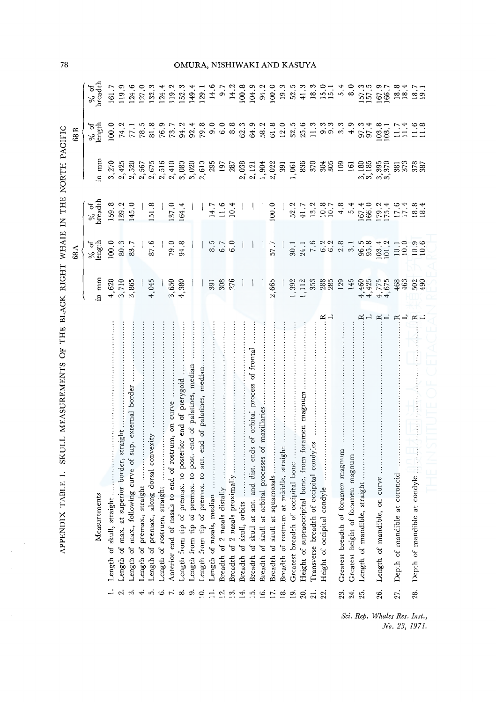|                 | ð<br>SKULL MEASUREMENTS<br><b>TABLE</b><br><b>APPENDIX</b>            | THE BLACK RIGHT                                   | <b>WHAIE</b><br>68 A                                                 | THE<br>$\Xi$                                            | NORTH PACIFIC      | 68 B           |                                                                                                                                                                      |
|-----------------|-----------------------------------------------------------------------|---------------------------------------------------|----------------------------------------------------------------------|---------------------------------------------------------|--------------------|----------------|----------------------------------------------------------------------------------------------------------------------------------------------------------------------|
|                 |                                                                       |                                                   |                                                                      |                                                         |                    |                |                                                                                                                                                                      |
|                 | Measurements                                                          | in mm                                             | $\%$ of length                                                       | $\%$ of oreadth                                         | n mm               | $\%$ of length | $\%$ of breadth                                                                                                                                                      |
|                 | Length of skull, straight                                             |                                                   | 100.0                                                                |                                                         | 3,270              | 100.0          | 161.7                                                                                                                                                                |
| $\mathbf{c}$    | straight<br>Length of max. at superior border,                        |                                                   | 80.3                                                                 |                                                         | 2,425              |                | 119.9                                                                                                                                                                |
| $\dot{\infty}$  | sup. external border<br>Length of max., following curve of            | $4,620$<br>$3,710$<br>$3,865$                     | 83.7                                                                 | $\begin{array}{c} 159.8 \\ 139.2 \\ 145.0 \end{array}$  | 2,520              |                | 124.6                                                                                                                                                                |
| $\ddot{ }$      | Length of premax., straight                                           |                                                   |                                                                      |                                                         | 2,567              |                | 127.0                                                                                                                                                                |
| $\vec{0}$       | Length of premax., along dorsal convexity                             | 4,045                                             | 87.6                                                                 | 151.8                                                   | 2,675              |                | 132.3                                                                                                                                                                |
| $\ddot{\circ}$  | Length of rostrum, straight                                           |                                                   |                                                                      |                                                         | 2,516              |                | 124.                                                                                                                                                                 |
| $\mathcal{L}$   | curve<br>Anterior end of nasals to end of rostrum, on                 | $\frac{3}{4}$ , 380                               |                                                                      |                                                         | 2,410              |                | 119.2                                                                                                                                                                |
| $\infty$        | pterygoid<br>J<br>end<br>Length from tip of premax. to posterior      |                                                   | $79.8$<br>$94.8$                                                     | 137.0<br>164.4                                          | 3,080              |                | $\begin{array}{r} 152.3 \\ 149.4 \\ 129.1 \\ 14.6 \\ 14.7 \\ 9.7 \\ 14.2 \\ \end{array}$                                                                             |
| $\ddot{\circ}$  | of palatines, median<br>Length from tip of premax. to post. end       |                                                   |                                                                      |                                                         | 3,020              |                |                                                                                                                                                                      |
| $\leq$          | Length from tip of premax. to ant. end of palatines, median.          |                                                   |                                                                      |                                                         | 2,610              |                |                                                                                                                                                                      |
| $\frac{1}{2}$   | Length of nasals, median                                              | 391                                               |                                                                      |                                                         | 295                |                |                                                                                                                                                                      |
| 12.             | Breadth of 2 nasals distally                                          | 308                                               | 5<br>6<br>6<br>6<br>6                                                | $14.7$<br>11.6<br>10.4                                  | 197                |                |                                                                                                                                                                      |
| 13.             | Breadth of 2 nasals proximally                                        | 276                                               |                                                                      |                                                         | 287                |                |                                                                                                                                                                      |
| 14.             | Breadth of skull, orbits                                              |                                                   |                                                                      |                                                         | 2,038              |                |                                                                                                                                                                      |
| $\frac{5}{1}$   | Breadth of skull at ant. and dist. ends of orbital process of frontal |                                                   |                                                                      |                                                         | 2,121              |                |                                                                                                                                                                      |
| $\tilde{e}$     | Breadth of skull at orbital processes of maxillaries                  |                                                   |                                                                      |                                                         | 1,904<br>2,022     |                |                                                                                                                                                                      |
| 17.             | Breadth of skull at squamosals                                        | 2,665                                             | 57.7                                                                 | 100.0                                                   |                    |                |                                                                                                                                                                      |
| ≌               | Breadth of rostrum at middle, straight                                |                                                   |                                                                      |                                                         | 391                |                |                                                                                                                                                                      |
| $\overline{19}$ | occipital bone<br>Greatest breadth of c                               | 1,392                                             |                                                                      |                                                         | 1,061              |                |                                                                                                                                                                      |
| 20.             | Height of supraoccipital bone, from foramen magnum                    | 1,112<br>353                                      |                                                                      |                                                         | 836                |                |                                                                                                                                                                      |
| 21.             | Transverse breadth of occipital condyles                              |                                                   |                                                                      |                                                         | 370                |                |                                                                                                                                                                      |
| 22.             | ≃ ⊭<br>Height of occipital condyle                                    | 288                                               | $3.37 - 6.38$<br>$-1.50$<br>$-1.50$<br>$-1.50$<br>$-1.50$<br>$-1.50$ | $21 - 22$<br>$22 - 32$<br>$22 - 42$                     | 305                |                |                                                                                                                                                                      |
| 23.             | Greatest breadth of foramen magnum                                    | 129<br>145                                        |                                                                      |                                                         | 109                |                |                                                                                                                                                                      |
| 24.             | Greatest height of foramen magnum                                     |                                                   |                                                                      |                                                         | 161                |                |                                                                                                                                                                      |
| 25.             | straight<br>Length of mandible,                                       |                                                   | $96.5$<br>$95.8$                                                     |                                                         | $3,180$<br>$3,185$ |                |                                                                                                                                                                      |
| 26.             | $\simeq$ $\overline{\phantom{0}}$<br>on curve<br>Length of mandible,  | $4,425$<br>$4,775$<br>$4,775$<br>$4,63$<br>$4,63$ | $103.4$<br>$101.2$                                                   | $\frac{167.4}{166.0}$<br>166.2<br>175.4<br>17.4<br>18.4 | $3,395$<br>$3,370$ |                | $\frac{3}{157.5}$<br>$\frac{3}{157.5}$<br>$\frac{3}{157.5}$<br>$\frac{3}{157.5}$<br>$\frac{3}{157.5}$<br>$\frac{3}{157.5}$<br>$\frac{3}{157.5}$<br>$\frac{3}{157.5}$ |
| 27.             | $\approx$ $\rightarrow$<br>coronoid<br>Depth of mandible at           |                                                   | 10.1                                                                 |                                                         | 381<br>373         |                |                                                                                                                                                                      |
| 28.             | condyle<br>Depth of mandible at                                       | $\frac{502}{490}$                                 | $10.9$<br>$10.6$                                                     |                                                         | 378                |                |                                                                                                                                                                      |

i. Rep. Whales Res. In.<br>No. 23, 19. les Res. Inst.,<br>Vo. 23, 1971.

78

 $\ddot{\phantom{1}}$ 

# OMURA, NISHIWAKI AND KASUYA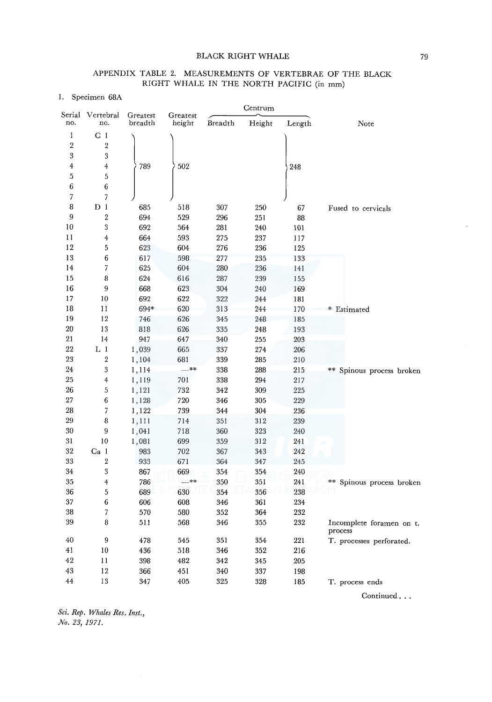## APPENDIX TABLE 2. MEASUREMENTS OF VERTEBRAE OF THE BLACK RIGHT WHALE IN THE NORTH PACIFIC (in mm)

I. Specimen 68A

|                |                         |                     |                    |         | Centrum |        |                                     |
|----------------|-------------------------|---------------------|--------------------|---------|---------|--------|-------------------------------------|
| no.            | Serial Vertebral<br>no. | Greatest<br>breadth | Greatest<br>height | Breadth | Height  | Length | Note                                |
| I              | C <sub>1</sub>          |                     |                    |         |         |        |                                     |
| $\overline{2}$ | $\boldsymbol{2}$        |                     |                    |         |         |        |                                     |
| 3              | $\overline{\mathbf{3}}$ |                     |                    |         |         |        |                                     |
| $\overline{4}$ | $\overline{4}$          | 789                 | 502                |         |         | 248    |                                     |
| $\sqrt{5}$     | 5                       |                     |                    |         |         |        |                                     |
| 6              | 6                       |                     |                    |         |         |        |                                     |
| $\overline{7}$ | 7                       |                     |                    |         |         |        |                                     |
| 8              | $D_1$                   | 685                 | 518                | 307     | 250     | 67     | Fused to cervicals                  |
| 9              | 2                       | 694                 | 529                | 296     | 251     | 88     |                                     |
| 10             | $\sqrt{3}$              | 692                 | 564                | 281     | 240     | 101    |                                     |
| П              | $\overline{\mathbf{4}}$ | 664                 | 593                | 275     | 237     | 117    |                                     |
| 12             | 5                       | 623                 | 604                | 276     | 236     | 125    |                                     |
| 13             | 6                       | 617                 | 598                | 277     | 235     | 133    |                                     |
| 14             | $\overline{7}$          | 625                 | 604                | 280     | 236     | 141    |                                     |
| 15             | 8                       | 624                 | 616                | 287     | 239     | 155    |                                     |
| 16             | 9                       | 668                 | 623                | 304     | 240     | 169    |                                     |
| 17             | 10                      | 692                 | 622                | 322     | 244     | 181    |                                     |
| 18             | 11                      | 694*                | 620                | 313     | 244     | 170    | * Estimated                         |
| 19             | 12                      | 746                 | 626                | 345     | 248     | 185    |                                     |
| 20             | 13                      | 818                 | 626                | 335     | 248     | 193    |                                     |
| 21             | 14                      | 947                 | 647                | 340     | 255     | 203    |                                     |
| 22             | $L_1$                   | 1,039               | 665                | 337     | 274     | 206    |                                     |
| 23             | $\,2$                   | 1,104               | 681                | 339     | 285     | 210    |                                     |
| 24             | $\overline{\mathbf{3}}$ | 1,114               | $-***$             | 338     | 288     | 215    | ** Spinous process broken           |
| 25             | $\overline{4}$          | 1,119               | 701                | 338     | 294     | 217    |                                     |
| 26             | 5                       | 1,121               | 732                | 342     | 309     | 225    |                                     |
| 27             | 6                       | 1,128               | 720                | 346     | 305     | 229    |                                     |
| 28             | 7                       |                     | 739                | 344     | 304     | 236    |                                     |
| 29             | 8                       | 1,122               |                    |         |         | 239    |                                     |
| 30             | 9                       | 1,111               | 714                | 351     | 312     |        |                                     |
| 31             | 10                      | 1,041               | 718                | 360     | 323     | 240    |                                     |
| 32             |                         | 1,081               | 699<br>702         | 359     | 312     | 241    |                                     |
|                | Ca <sub>1</sub>         | 983                 |                    | 367     | 343     | 242    |                                     |
| 33             | $\boldsymbol{2}$        | 933                 | 671                | 364     | 347     | 245    |                                     |
| 34             | 3                       | 867                 | 669                | 354     | 354     | 240    |                                     |
| 35             | $\overline{\mathbf{4}}$ | 786                 | —**                | 350     | 351     | 241    | ** Spinous process broken           |
| 36             | 5                       | 689                 | 630                | 354     | 356     | 238    |                                     |
| 37             | 6                       | 606                 | 608                | 346     | 361     | 234    |                                     |
| 38             | $\overline{7}$          | 570                 | 580                | 352     | 364     | 232    |                                     |
| 39             | 8                       | 511                 | 568                | 346     | 355     | 232    | Incomplete foramen on t.<br>process |
| 40             | 9                       | 478                 | 545                | 351     | 354     | 221    | T. processes perforated.            |
| 41             | 10                      | 436                 | 518                | 346     | 352     | 216    |                                     |
| 42             | 11                      | 398                 | 482                | 342     | 345     | 205    |                                     |
| 43             | 12                      | 366                 | 451                | 340     | 337     | 198    |                                     |
| 44             | 13                      | 347                 | 405                | 325     | 328     | 185    | T. process ends                     |

Continued ...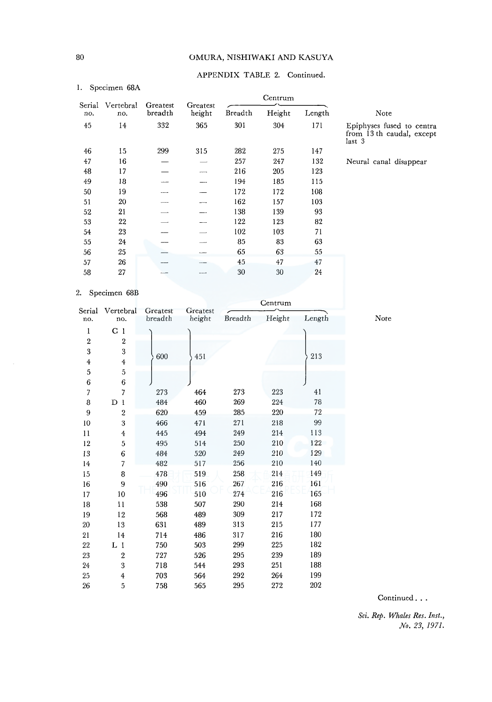## 80 OMURA, NISHIWAKI AND KASUYA

## APPENDIX TABLE 2. Continued.

#### I. Specimen 68A

|               |                  |                     |                    |         | Centrum |        |                                                                 |
|---------------|------------------|---------------------|--------------------|---------|---------|--------|-----------------------------------------------------------------|
| Serial<br>no. | Vertebral<br>no. | Greatest<br>breadth | Greatest<br>height | Breadth | Height  | Length | Note                                                            |
| 45            | 14               | 332                 | 365                | 301     | 304     | 171    | Epiphyses fused to centra<br>from 13th caudal, except<br>last 3 |
| 46            | 15               | 299                 | 315                | 282     | 275     | 147    |                                                                 |
| 47            | 16               |                     |                    | 257     | 247     | 132    | Neural canal disappear                                          |
| 48            | 17               |                     |                    | 216     | 205     | 123    |                                                                 |
| 49            | 18               |                     |                    | 194     | 185     | 115    |                                                                 |
| 50            | 19               |                     |                    | 172     | 172     | 108    |                                                                 |
| 51            | 20               |                     |                    | 162     | 157     | 103    |                                                                 |
| 52            | 21               |                     |                    | 138     | 139     | 93     |                                                                 |
| 53            | 22               |                     |                    | 122     | 123     | 82     |                                                                 |
| 54            | 23               |                     |                    | 102     | 103     | 71     |                                                                 |
| 55            | 24               |                     |                    | 85      | 83      | 63     |                                                                 |
| 56            | 25               |                     |                    | 65      | 63      | 55     |                                                                 |
| 57            | 26               |                     |                    | 45      | 47      | 47     |                                                                 |
| 58            | 27               |                     |                    | 30      | 30      | 24     |                                                                 |

#### 2. Specimen 68B

|                         |                         |                     |                    |         | Centrum |        |
|-------------------------|-------------------------|---------------------|--------------------|---------|---------|--------|
| Serial<br>no.           | Vertebral<br>no.        | Greatest<br>breadth | Greatest<br>height | Breadth | Height  | Length |
|                         |                         |                     |                    |         |         |        |
| 1                       | C <sub>1</sub>          |                     |                    |         |         |        |
| $\overline{\mathbf{2}}$ | 2                       |                     |                    |         |         |        |
| $\boldsymbol{3}$        | 3                       | 600                 | 451                |         |         | 213    |
| $\overline{4}$          | $\ddagger$              |                     |                    |         |         |        |
| 5                       | 5                       |                     |                    |         |         |        |
| 6                       | $\boldsymbol{6}$        |                     |                    |         |         |        |
| $\overline{7}$          | $\overline{7}$          | 273                 | 464                | 273     | 223     | 41     |
| 8                       | $D_1$                   | 484                 | 460                | 269     | 224     | 78     |
| 9                       | $\mathbf{2}$            | 620                 | 459                | 285     | 220     | 72     |
| 10                      | $\overline{\mathbf{3}}$ | 466                 | 471                | 271     | 218     | 99     |
| 11                      | $\overline{4}$          | 445                 | 494                | 249     | 214     | 113    |
| 12                      | 5                       | 495                 | 514                | 250     | 210     | 122    |
| 13                      | 6                       | 484                 | 520                | 249     | 210     | 129    |
| 14                      | 7                       | 482                 | 517                | 256     | 210     | 140    |
| 15                      | 8                       | 478                 | 519                | 258     | 214     | 149    |
| 16                      | 9                       | 490                 | 516                | 267     | 216     | 161    |
| 17                      | 10                      | 496                 | 510                | 274     | 216     | 165    |
| 18                      | 11                      | 538                 | 507                | 290     | 214     | 168    |
| 19                      | 12                      | 568                 | 489                | 309     | 217     | 172    |
| 20                      | 13                      | 631                 | 489                | 313     | 215     | 177    |
| 21                      | 14                      | 714                 | 486                | 317     | 216     | 180    |
| $22\,$                  | $L_1$                   | 750                 | 503                | 299     | 225     | 182    |
| 23                      | $\mathbf{2}$            | 727                 | 526                | 295     | 239     | 189    |
| 24                      | 3                       | 718                 | 544                | 293     | 251     | 188    |
| 25                      | 4                       | 703                 | 564                | 292     | 264     | 199    |
| 26                      | 5                       | 758                 | 565                | 295     | 272     | 202    |

Continued . . .